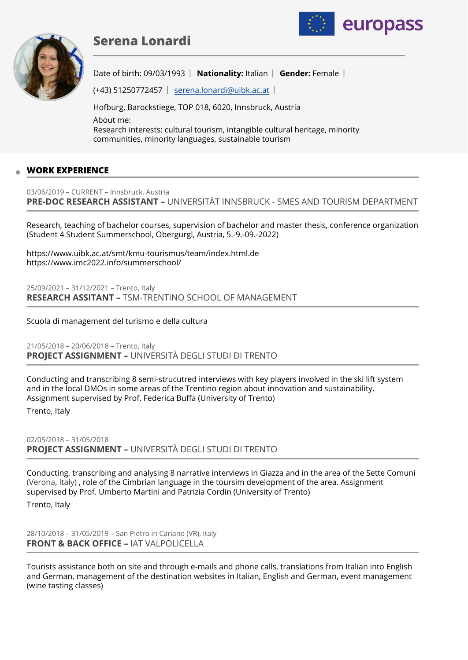# **Serena Lonardi**



Date of birth: 09/03/1993 | Nationality: Italian | Gender: Female |

europass

(+43) 51250772457 | serena.lonardi@uibk.ac.at

Hofburg, Barockstiege, TOP 018, 6020, Innsbruck, Austria About me: Research interests: cultural tourism, intangible cultural heritage, minority communities, minority languages, sustainable tourism

# **WORK EXPERIENCE**

03/06/2019 – CURRENT – Innsbruck, Austria **PRE-DOC RESEARCH ASSISTANT –** UNIVERSITÄT INNSBRUCK - SMES AND TOURISM DEPARTMENT

Research, teaching of bachelor courses, supervision of bachelor and master thesis, conference organization (Student 4 Student Summerschool, Obergurgl, Austria, 5.-9.-09.-2022)

https://www.uibk.ac.at/smt/kmu-tourismus/team/index.html.de https://www.imc2022.info/summerschool/

25/09/2021 – 31/12/2021 – Trento, Italy **RESEARCH ASSITANT –** TSM-TRENTINO SCHOOL OF MANAGEMENT

Scuola di management del turismo e della cultura

21/05/2018 – 20/06/2018 – Trento, Italy **PROJECT ASSIGNMENT –** UNIVERSITÀ DEGLI STUDI DI TRENTO

Conducting and transcribing 8 semi-strucutred interviews with key players involved in the ski lift system and in the local DMOs in some areas of the Trentino region about innovation and sustainability. Assignment supervised by Prof. Federica Buffa (University of Trento)

Trento, Italy

02/05/2018 – 31/05/2018 **PROJECT ASSIGNMENT –** UNIVERSITÀ DEGLI STUDI DI TRENTO

Conducting, transcribing and analysing 8 narrative interviews in Giazza and in the area of the Sette Comuni (Verona, Italy) , role of the Cimbrian language in the toursim development of the area. Assignment supervised by Prof. Umberto Martini and Patrizia Cordin (University of Trento)

Trento, Italy

28/10/2018 – 31/05/2019 – San Pietro in Cariano (VR), Italy **FRONT & BACK OFFICE –** IAT VALPOLICELLA

Tourists assistance both on site and through e-mails and phone calls, translations from Italian into English and German, management of the destination websites in Italian, English and German, event management (wine tasting classes)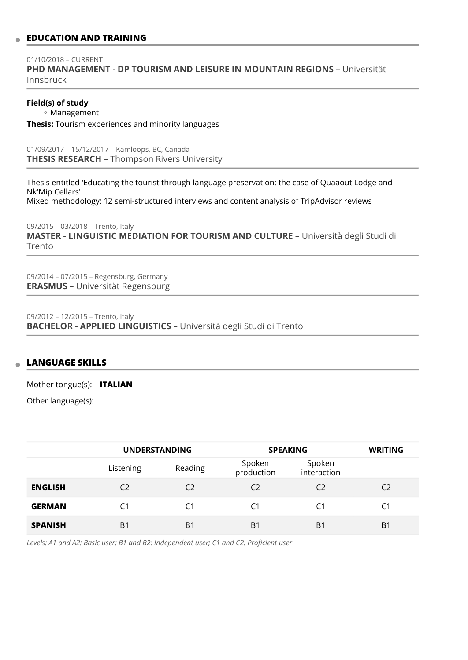# **EDUCATION AND TRAINING**

01/10/2018 – CURRENT **PHD MANAGEMENT - DP TOURISM AND LEISURE IN MOUNTAIN REGIONS –** Universität Innsbruck

**Field(s) of study**

Management ◦

**Thesis:** Tourism experiences and minority languages

01/09/2017 – 15/12/2017 – Kamloops, BC, Canada **THESIS RESEARCH –** Thompson Rivers University

Thesis entitled 'Educating the tourist through language preservation: the case of Quaaout Lodge and Nk'Mip Cellars' Mixed methodology: 12 semi-structured interviews and content analysis of TripAdvisor reviews

09/2015 – 03/2018 – Trento, Italy **MASTER - LINGUISTIC MEDIATION FOR TOURISM AND CULTURE –** Università degli Studi di Trento

09/2014 – 07/2015 – Regensburg, Germany **ERASMUS –** Universität Regensburg

09/2012 – 12/2015 – Trento, Italy **BACHELOR - APPLIED LINGUISTICS –** Università degli Studi di Trento

#### **LANGUAGE SKILLS**  $\mathfrak{m}$

Mother tongue(s): **ITALIAN**

Other language(s):

|                | <b>UNDERSTANDING</b> |         | <b>SPEAKING</b>      |                       | <b>WRITING</b> |
|----------------|----------------------|---------|----------------------|-----------------------|----------------|
|                | Listening            | Reading | Spoken<br>production | Spoken<br>interaction |                |
| <b>ENGLISH</b> | C <sub>2</sub>       | C2      | C <sub>2</sub>       | C2                    | C <sub>2</sub> |
| <b>GERMAN</b>  | C1                   | C1      | C1                   | C1                    | C1             |
| <b>SPANISH</b> | B <sub>1</sub>       | B1      | B <sub>1</sub>       | B1                    | B1             |

*Levels: A1 and A2: Basic user; B1 and B2: Independent user; C1 and C2: Proficient user*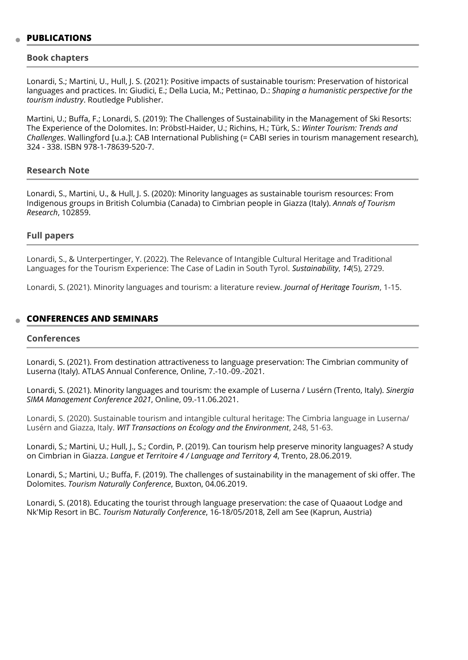### **PUBLICATIONS**

#### **Book chapters**

Lonardi, S.; Martini, U., Hull, J. S. (2021): Positive impacts of sustainable tourism: Preservation of historical languages and practices. In: Giudici, E.; Della Lucia, M.; Pettinao, D.: *Shaping a humanistic perspective for the tourism industry*. Routledge Publisher.

Martini, U.; Buffa, F.; Lonardi, S. (2019): The Challenges of Sustainability in the Management of Ski Resorts: The Experience of the Dolomites. In: Pröbstl-Haider, U.; Richins, H.; Türk, S.: *Winter Tourism: Trends and Challenges*. Wallingford [u.a.]: CAB International Publishing (= CABI series in tourism management research), 324 - 338. ISBN 978-1-78639-520-7.

# **Research Note**

Lonardi, S., Martini, U., & Hull, J. S. (2020): Minority languages as sustainable tourism resources: From Indigenous groups in British Columbia (Canada) to Cimbrian people in Giazza (Italy). *Annals of Tourism Research*, 102859.

#### **Full papers**

Lonardi, S., & Unterpertinger, Y. (2022). The Relevance of Intangible Cultural Heritage and Traditional Languages for the Tourism Experience: The Case of Ladin in South Tyrol. *Sustainability*, *14*(5), 2729.

Lonardi, S. (2021). Minority languages and tourism: a literature review. *Journal of Heritage Tourism*, 1-15.

#### **CONFERENCES AND SEMINARS**

#### **Conferences**

Lonardi, S. (2021). From destination attractiveness to language preservation: The Cimbrian community of Luserna (Italy). ATLAS Annual Conference, Online, 7.-10.-09.-2021.

Lonardi, S. (2021). Minority languages and tourism: the example of Luserna / Lusérn (Trento, Italy). *Sinergia SIMA Management Conference 2021*, Online, 09.-11.06.2021.

Lonardi, S. (2020). Sustainable tourism and intangible cultural heritage: The Cimbria language in Luserna/ Lusérn and Giazza, Italy. *WIT Transactions on Ecology and the Environment*, 248, 51-63.

Lonardi, S.; Martini, U.; Hull, J., S.; Cordin, P. (2019). Can tourism help preserve minority languages? A study on Cimbrian in Giazza. *Langue et Territoire 4 / Language and Territory 4*, Trento, 28.06.2019.

Lonardi, S.; Martini, U.; Buffa, F. (2019). The challenges of sustainability in the management of ski offer. The Dolomites. *Tourism Naturally Conference*, Buxton, 04.06.2019.

Lonardi, S. (2018). Educating the tourist through language preservation: the case of Quaaout Lodge and Nk'Mip Resort in BC. *Tourism Naturally Conference*, 16-18/05/2018, Zell am See (Kaprun, Austria)